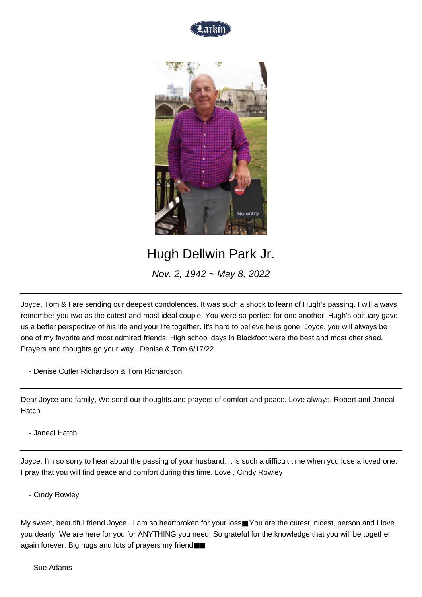



## Hugh Dellwin Park Jr.

Nov. 2, 1942 ~ May 8, 2022

Joyce, Tom & I are sending our deepest condolences. It was such a shock to learn of Hugh's passing. I will always remember you two as the cutest and most ideal couple. You were so perfect for one another. Hugh's obituary gave us a better perspective of his life and your life together. It's hard to believe he is gone. Joyce, you will always be one of my favorite and most admired friends. High school days in Blackfoot were the best and most cherished. Prayers and thoughts go your way...Denise & Tom 6/17/22

- Denise Cutler Richardson & Tom Richardson

Dear Joyce and family, We send our thoughts and prayers of comfort and peace. Love always, Robert and Janeal Hatch

- Janeal Hatch

Joyce, I'm so sorry to hear about the passing of your husband. It is such a difficult time when you lose a loved one. I pray that you will find peace and comfort during this time. Love , Cindy Rowley

- Cindy Rowley

My sweet, beautiful friend Joyce...I am so heartbroken for your loss■ You are the cutest, nicest, person and I love you dearly. We are here for you for ANYTHING you need. So grateful for the knowledge that you will be together again forever. Big hugs and lots of prayers my friend■■

- Sue Adams